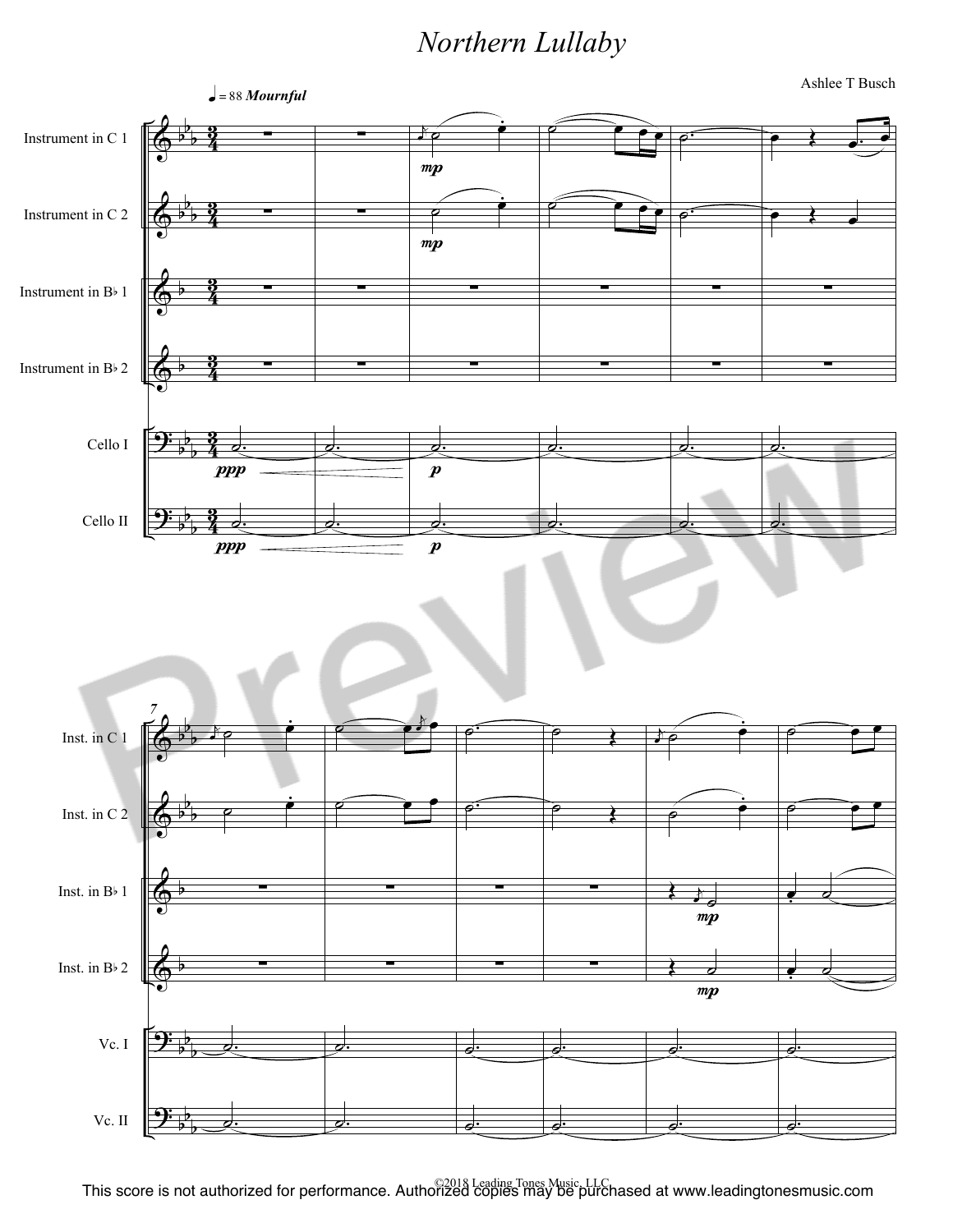## *Northern Lullaby*





This score is not authorized for performance. Authorized copies may be purchased at www.leadingtonesmusic.com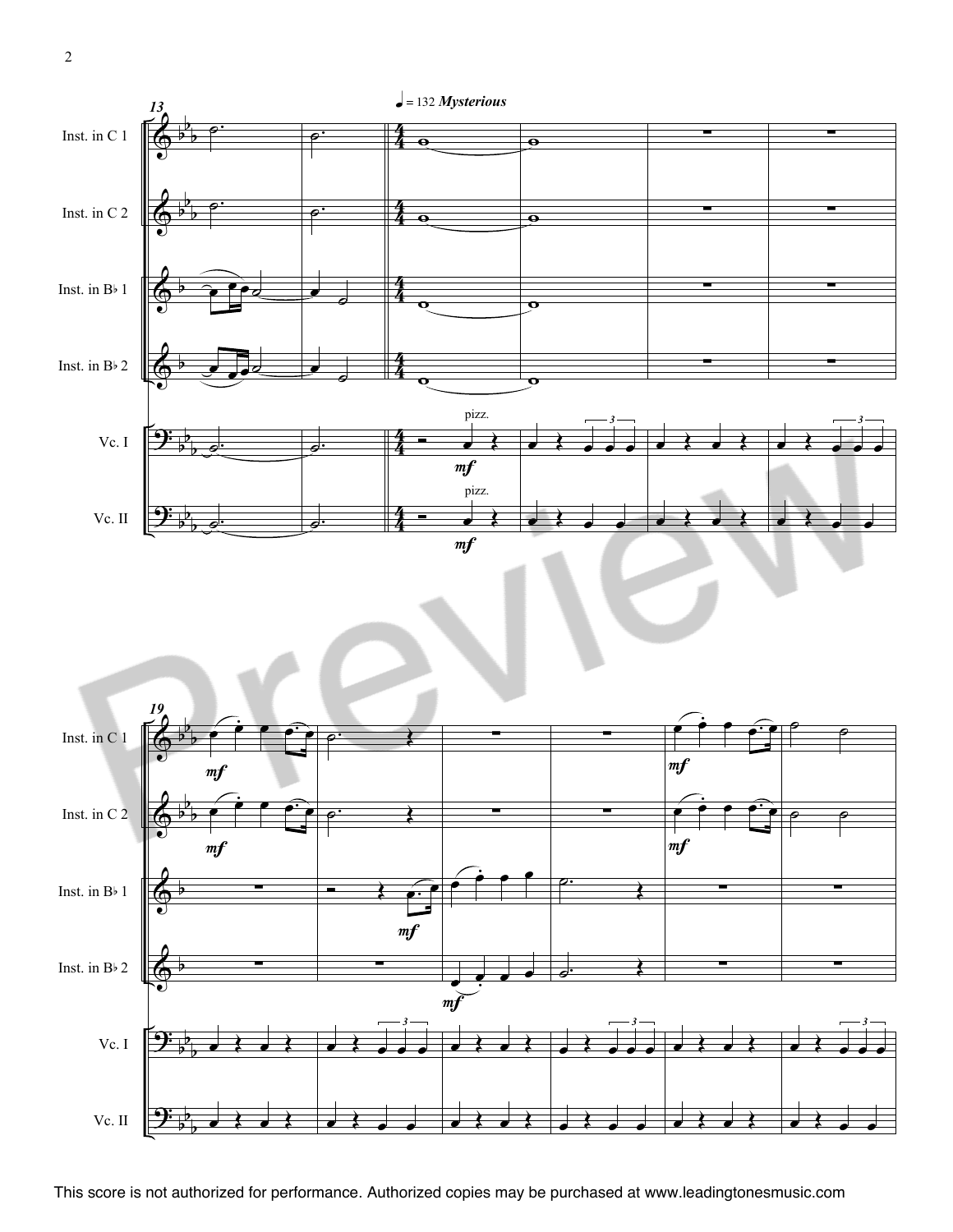

$$
\mathit{mf}
$$

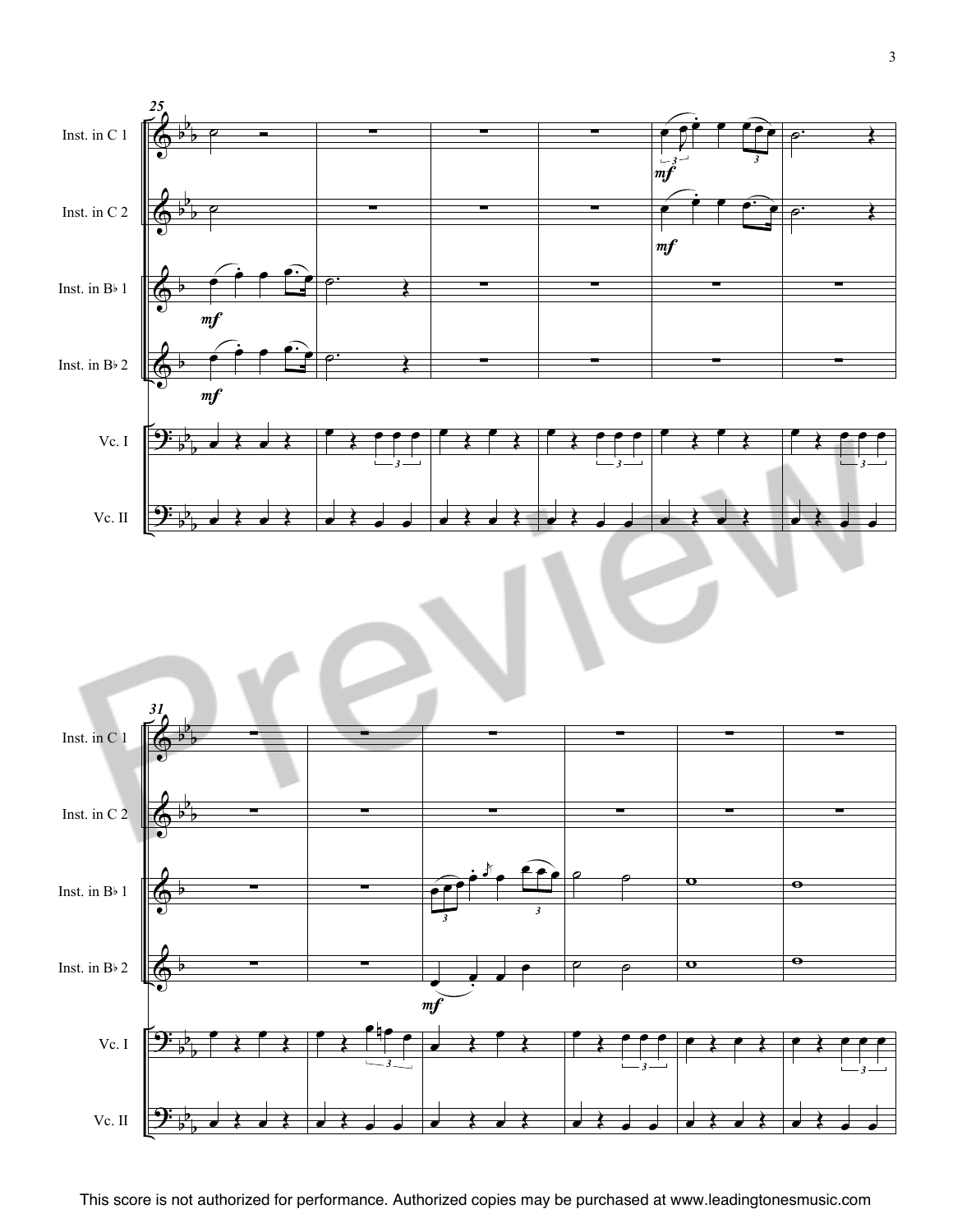

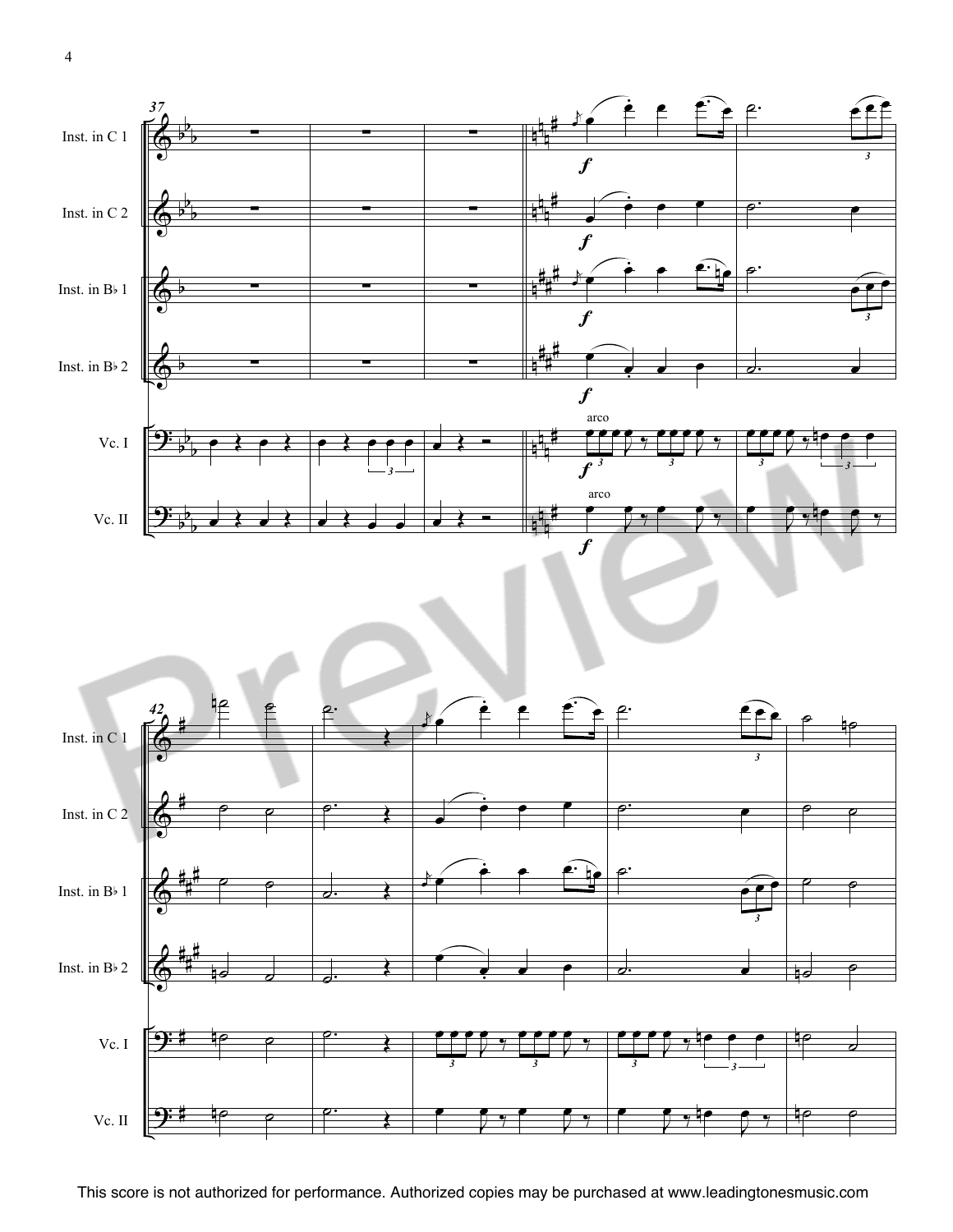



This score is not authorized for performance. Authorized copies may be purchased at www.leadingtonesmusic.com

4